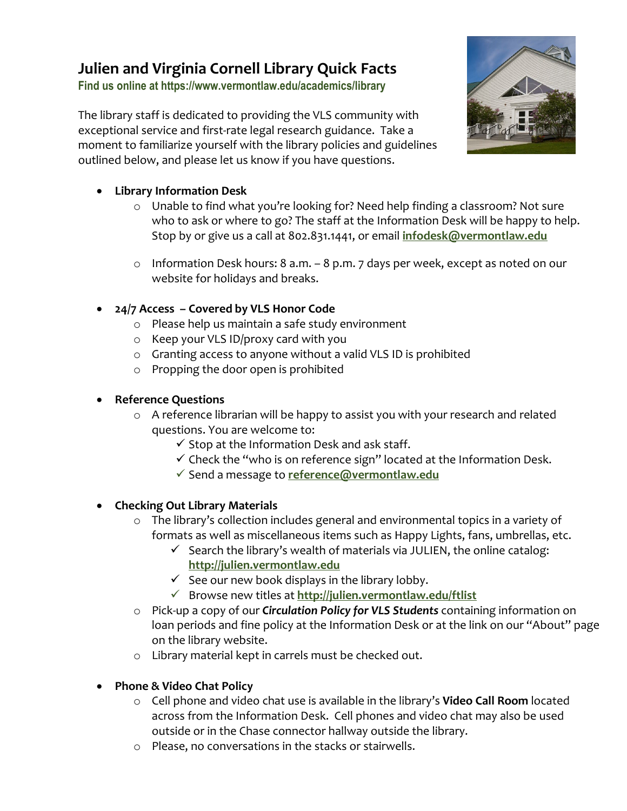# **Julien and Virginia Cornell Library Quick Facts**

**Find us online at https://www.vermontlaw.edu/academics/library**

The library staff is dedicated to providing the VLS community with exceptional service and first-rate legal research guidance. Take a moment to familiarize yourself with the library policies and guidelines outlined below, and please let us know if you have questions.



- **Library Information Desk** 
	- o Unable to find what you're looking for? Need help finding a classroom? Not sure who to ask or where to go? The staff at the Information Desk will be happy to help. Stop by or give us a call at 802.831.1441, or email **[infodesk@vermontlaw.edu](mailto:infodesk@vermontlaw.edu)**
	- o Information Desk hours: 8 a.m. 8 p.m. 7 days per week, except as noted on our website for holidays and breaks.
- **24/7 Access – Covered by VLS Honor Code**
	- o Please help us maintain a safe study environment
	- o Keep your VLS ID/proxy card with you
	- o Granting access to anyone without a valid VLS ID is prohibited
	- o Propping the door open is prohibited

## • **Reference Questions**

- o A reference librarian will be happy to assist you with your research and related questions. You are welcome to:
	- $\checkmark$  Stop at the Information Desk and ask staff.
	- $\checkmark$  Check the "who is on reference sign" located at the Information Desk.
	- Send a message to **[reference@vermontlaw.edu](mailto:reference@vermontlaw.edu)**

## • **Checking Out Library Materials**

- o The library's collection includes general and environmental topics in a variety of formats as well as miscellaneous items such as Happy Lights, fans, umbrellas, etc.
	- $\checkmark$  Search the library's wealth of materials via JULIEN, the online catalog: **[http://julien.vermontlaw.edu](http://julien.vermontlaw.edu/)**
	- $\checkmark$  See our new book displays in the library lobby.
	- Browse new titles at **<http://julien.vermontlaw.edu/ftlist>**
- o Pick-up a copy of our *Circulation Policy for VLS Students* containing information on loan periods and fine policy at the Information Desk or at the link on our "About" page on the library website.
- o Library material kept in carrels must be checked out.
- **Phone & Video Chat Policy**
	- o Cell phone and video chat use is available in the library's **Video Call Room** located across from the Information Desk. Cell phones and video chat may also be used outside or in the Chase connector hallway outside the library.
	- o Please, no conversations in the stacks or stairwells.